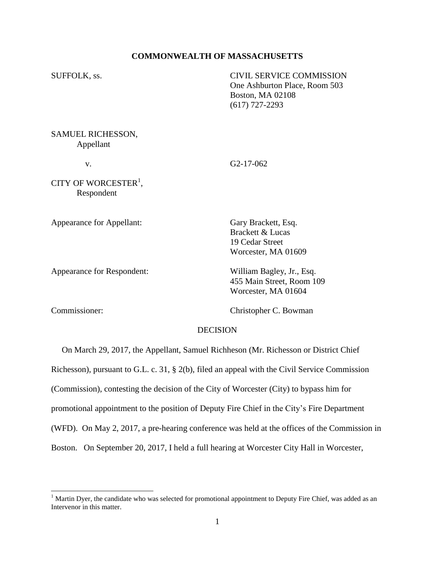#### **COMMONWEALTH OF MASSACHUSETTS**

SUFFOLK, ss. CIVIL SERVICE COMMISSION One Ashburton Place, Room 503 Boston, MA 02108 (617) 727-2293

SAMUEL RICHESSON, Appellant

v. G2-17-062

CITY OF WORCESTER<sup>1</sup>, Respondent

Appearance for Appellant: Gary Brackett, Esq.

Worcester, MA 01609 Appearance for Respondent: William Bagley, Jr., Esq. 455 Main Street, Room 109

Brackett & Lucas 19 Cedar Street

l

Commissioner: Christopher C. Bowman

Worcester, MA 01604

#### DECISION

 On March 29, 2017, the Appellant, Samuel Richheson (Mr. Richesson or District Chief Richesson), pursuant to G.L. c. 31, § 2(b), filed an appeal with the Civil Service Commission (Commission), contesting the decision of the City of Worcester (City) to bypass him for promotional appointment to the position of Deputy Fire Chief in the City's Fire Department (WFD). On May 2, 2017, a pre-hearing conference was held at the offices of the Commission in Boston. On September 20, 2017, I held a full hearing at Worcester City Hall in Worcester,

 $1$  Martin Dyer, the candidate who was selected for promotional appointment to Deputy Fire Chief, was added as an Intervenor in this matter.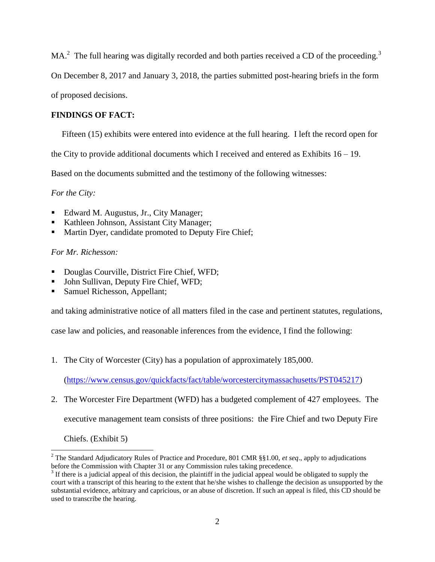MA.<sup>2</sup> The full hearing was digitally recorded and both parties received a CD of the proceeding.<sup>3</sup>

On December 8, 2017 and January 3, 2018, the parties submitted post-hearing briefs in the form

of proposed decisions.

# **FINDINGS OF FACT:**

Fifteen (15) exhibits were entered into evidence at the full hearing. I left the record open for

the City to provide additional documents which I received and entered as Exhibits  $16 - 19$ .

Based on the documents submitted and the testimony of the following witnesses:

*For the City:*

- Edward M. Augustus, Jr., City Manager;
- Kathleen Johnson, Assistant City Manager;
- Martin Dyer, candidate promoted to Deputy Fire Chief;

## *For Mr. Richesson:*

- Douglas Courville, District Fire Chief, WFD;
- John Sullivan, Deputy Fire Chief, WFD;
- Samuel Richesson, Appellant;

and taking administrative notice of all matters filed in the case and pertinent statutes, regulations,

case law and policies, and reasonable inferences from the evidence, I find the following:

1. The City of Worcester (City) has a population of approximately 185,000.

[\(https://www.census.gov/quickfacts/fact/table/worcestercitymassachusetts/PST045217\)](https://www.census.gov/quickfacts/fact/table/worcestercitymassachusetts/PST045217)

2. The Worcester Fire Department (WFD) has a budgeted complement of 427 employees. The

executive management team consists of three positions: the Fire Chief and two Deputy Fire

Chiefs. (Exhibit 5)

 $\overline{\phantom{a}}$ 

<sup>2</sup> The Standard Adjudicatory Rules of Practice and Procedure, 801 CMR §§1.00, *et seq*., apply to adjudications before the Commission with Chapter 31 or any Commission rules taking precedence.

 $3$  If there is a judicial appeal of this decision, the plaintiff in the judicial appeal would be obligated to supply the court with a transcript of this hearing to the extent that he/she wishes to challenge the decision as unsupported by the substantial evidence, arbitrary and capricious, or an abuse of discretion. If such an appeal is filed, this CD should be used to transcribe the hearing.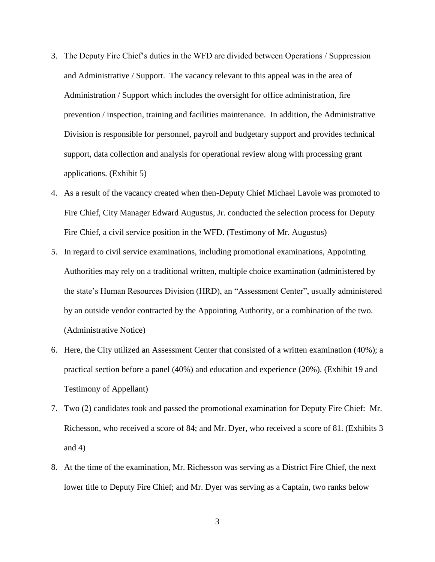- 3. The Deputy Fire Chief's duties in the WFD are divided between Operations / Suppression and Administrative / Support. The vacancy relevant to this appeal was in the area of Administration / Support which includes the oversight for office administration, fire prevention / inspection, training and facilities maintenance. In addition, the Administrative Division is responsible for personnel, payroll and budgetary support and provides technical support, data collection and analysis for operational review along with processing grant applications. (Exhibit 5)
- 4. As a result of the vacancy created when then-Deputy Chief Michael Lavoie was promoted to Fire Chief, City Manager Edward Augustus, Jr. conducted the selection process for Deputy Fire Chief, a civil service position in the WFD. (Testimony of Mr. Augustus)
- 5. In regard to civil service examinations, including promotional examinations, Appointing Authorities may rely on a traditional written, multiple choice examination (administered by the state's Human Resources Division (HRD), an "Assessment Center", usually administered by an outside vendor contracted by the Appointing Authority, or a combination of the two. (Administrative Notice)
- 6. Here, the City utilized an Assessment Center that consisted of a written examination (40%); a practical section before a panel (40%) and education and experience (20%). (Exhibit 19 and Testimony of Appellant)
- 7. Two (2) candidates took and passed the promotional examination for Deputy Fire Chief: Mr. Richesson, who received a score of 84; and Mr. Dyer, who received a score of 81. (Exhibits 3 and  $4)$
- 8. At the time of the examination, Mr. Richesson was serving as a District Fire Chief, the next lower title to Deputy Fire Chief; and Mr. Dyer was serving as a Captain, two ranks below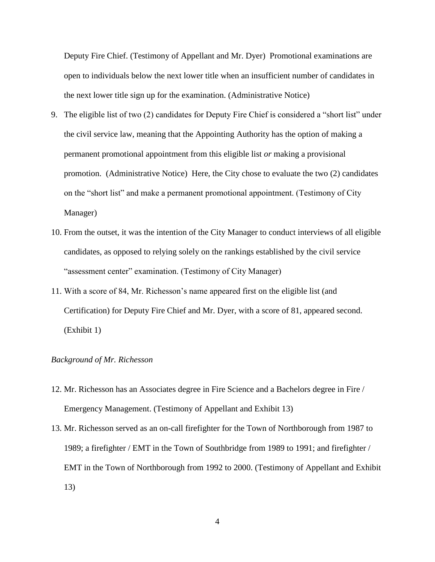Deputy Fire Chief. (Testimony of Appellant and Mr. Dyer) Promotional examinations are open to individuals below the next lower title when an insufficient number of candidates in the next lower title sign up for the examination. (Administrative Notice)

- 9. The eligible list of two (2) candidates for Deputy Fire Chief is considered a "short list" under the civil service law, meaning that the Appointing Authority has the option of making a permanent promotional appointment from this eligible list *or* making a provisional promotion. (Administrative Notice) Here, the City chose to evaluate the two (2) candidates on the "short list" and make a permanent promotional appointment. (Testimony of City Manager)
- 10. From the outset, it was the intention of the City Manager to conduct interviews of all eligible candidates, as opposed to relying solely on the rankings established by the civil service "assessment center" examination. (Testimony of City Manager)
- 11. With a score of 84, Mr. Richesson's name appeared first on the eligible list (and Certification) for Deputy Fire Chief and Mr. Dyer, with a score of 81, appeared second. (Exhibit 1)

#### *Background of Mr. Richesson*

- 12. Mr. Richesson has an Associates degree in Fire Science and a Bachelors degree in Fire / Emergency Management. (Testimony of Appellant and Exhibit 13)
- 13. Mr. Richesson served as an on-call firefighter for the Town of Northborough from 1987 to 1989; a firefighter / EMT in the Town of Southbridge from 1989 to 1991; and firefighter / EMT in the Town of Northborough from 1992 to 2000. (Testimony of Appellant and Exhibit 13)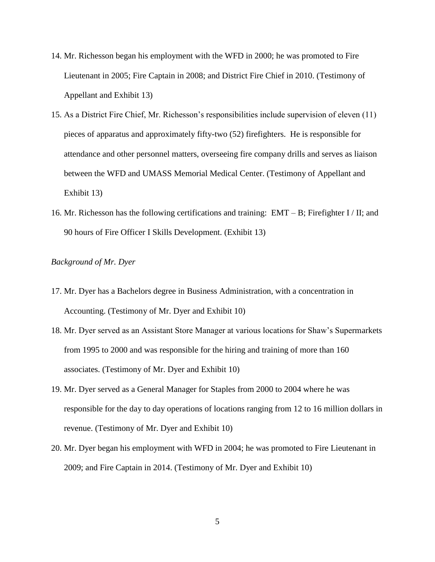- 14. Mr. Richesson began his employment with the WFD in 2000; he was promoted to Fire Lieutenant in 2005; Fire Captain in 2008; and District Fire Chief in 2010. (Testimony of Appellant and Exhibit 13)
- 15. As a District Fire Chief, Mr. Richesson's responsibilities include supervision of eleven (11) pieces of apparatus and approximately fifty-two (52) firefighters. He is responsible for attendance and other personnel matters, overseeing fire company drills and serves as liaison between the WFD and UMASS Memorial Medical Center. (Testimony of Appellant and Exhibit 13)
- 16. Mr. Richesson has the following certifications and training: EMT B; Firefighter I / II; and 90 hours of Fire Officer I Skills Development. (Exhibit 13)

### *Background of Mr. Dyer*

- 17. Mr. Dyer has a Bachelors degree in Business Administration, with a concentration in Accounting. (Testimony of Mr. Dyer and Exhibit 10)
- 18. Mr. Dyer served as an Assistant Store Manager at various locations for Shaw's Supermarkets from 1995 to 2000 and was responsible for the hiring and training of more than 160 associates. (Testimony of Mr. Dyer and Exhibit 10)
- 19. Mr. Dyer served as a General Manager for Staples from 2000 to 2004 where he was responsible for the day to day operations of locations ranging from 12 to 16 million dollars in revenue. (Testimony of Mr. Dyer and Exhibit 10)
- 20. Mr. Dyer began his employment with WFD in 2004; he was promoted to Fire Lieutenant in 2009; and Fire Captain in 2014. (Testimony of Mr. Dyer and Exhibit 10)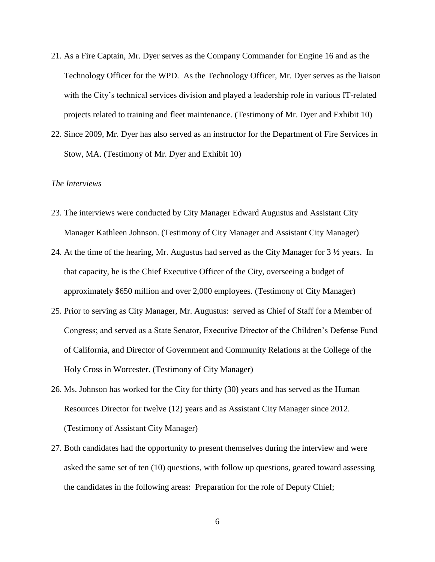- 21. As a Fire Captain, Mr. Dyer serves as the Company Commander for Engine 16 and as the Technology Officer for the WPD. As the Technology Officer, Mr. Dyer serves as the liaison with the City's technical services division and played a leadership role in various IT-related projects related to training and fleet maintenance. (Testimony of Mr. Dyer and Exhibit 10)
- 22. Since 2009, Mr. Dyer has also served as an instructor for the Department of Fire Services in Stow, MA. (Testimony of Mr. Dyer and Exhibit 10)

#### *The Interviews*

- 23. The interviews were conducted by City Manager Edward Augustus and Assistant City Manager Kathleen Johnson. (Testimony of City Manager and Assistant City Manager)
- 24. At the time of the hearing, Mr. Augustus had served as the City Manager for 3 ½ years. In that capacity, he is the Chief Executive Officer of the City, overseeing a budget of approximately \$650 million and over 2,000 employees. (Testimony of City Manager)
- 25. Prior to serving as City Manager, Mr. Augustus: served as Chief of Staff for a Member of Congress; and served as a State Senator, Executive Director of the Children's Defense Fund of California, and Director of Government and Community Relations at the College of the Holy Cross in Worcester. (Testimony of City Manager)
- 26. Ms. Johnson has worked for the City for thirty (30) years and has served as the Human Resources Director for twelve (12) years and as Assistant City Manager since 2012. (Testimony of Assistant City Manager)
- 27. Both candidates had the opportunity to present themselves during the interview and were asked the same set of ten (10) questions, with follow up questions, geared toward assessing the candidates in the following areas: Preparation for the role of Deputy Chief;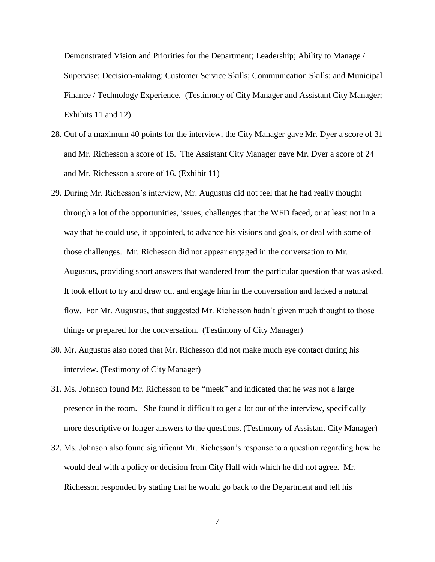Demonstrated Vision and Priorities for the Department; Leadership; Ability to Manage / Supervise; Decision-making; Customer Service Skills; Communication Skills; and Municipal Finance / Technology Experience. (Testimony of City Manager and Assistant City Manager; Exhibits 11 and 12)

- 28. Out of a maximum 40 points for the interview, the City Manager gave Mr. Dyer a score of 31 and Mr. Richesson a score of 15. The Assistant City Manager gave Mr. Dyer a score of 24 and Mr. Richesson a score of 16. (Exhibit 11)
- 29. During Mr. Richesson's interview, Mr. Augustus did not feel that he had really thought through a lot of the opportunities, issues, challenges that the WFD faced, or at least not in a way that he could use, if appointed, to advance his visions and goals, or deal with some of those challenges. Mr. Richesson did not appear engaged in the conversation to Mr. Augustus, providing short answers that wandered from the particular question that was asked. It took effort to try and draw out and engage him in the conversation and lacked a natural flow. For Mr. Augustus, that suggested Mr. Richesson hadn't given much thought to those things or prepared for the conversation. (Testimony of City Manager)
- 30. Mr. Augustus also noted that Mr. Richesson did not make much eye contact during his interview. (Testimony of City Manager)
- 31. Ms. Johnson found Mr. Richesson to be "meek" and indicated that he was not a large presence in the room. She found it difficult to get a lot out of the interview, specifically more descriptive or longer answers to the questions. (Testimony of Assistant City Manager)
- 32. Ms. Johnson also found significant Mr. Richesson's response to a question regarding how he would deal with a policy or decision from City Hall with which he did not agree. Mr. Richesson responded by stating that he would go back to the Department and tell his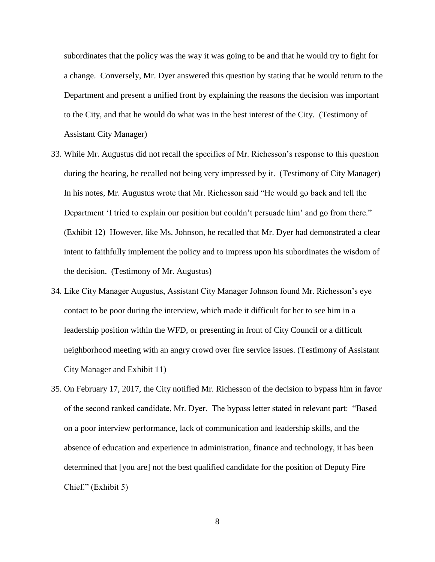subordinates that the policy was the way it was going to be and that he would try to fight for a change. Conversely, Mr. Dyer answered this question by stating that he would return to the Department and present a unified front by explaining the reasons the decision was important to the City, and that he would do what was in the best interest of the City. (Testimony of Assistant City Manager)

- 33. While Mr. Augustus did not recall the specifics of Mr. Richesson's response to this question during the hearing, he recalled not being very impressed by it. (Testimony of City Manager) In his notes, Mr. Augustus wrote that Mr. Richesson said "He would go back and tell the Department 'I tried to explain our position but couldn't persuade him' and go from there." (Exhibit 12) However, like Ms. Johnson, he recalled that Mr. Dyer had demonstrated a clear intent to faithfully implement the policy and to impress upon his subordinates the wisdom of the decision. (Testimony of Mr. Augustus)
- 34. Like City Manager Augustus, Assistant City Manager Johnson found Mr. Richesson's eye contact to be poor during the interview, which made it difficult for her to see him in a leadership position within the WFD, or presenting in front of City Council or a difficult neighborhood meeting with an angry crowd over fire service issues. (Testimony of Assistant City Manager and Exhibit 11)
- 35. On February 17, 2017, the City notified Mr. Richesson of the decision to bypass him in favor of the second ranked candidate, Mr. Dyer. The bypass letter stated in relevant part: "Based on a poor interview performance, lack of communication and leadership skills, and the absence of education and experience in administration, finance and technology, it has been determined that [you are] not the best qualified candidate for the position of Deputy Fire Chief." (Exhibit 5)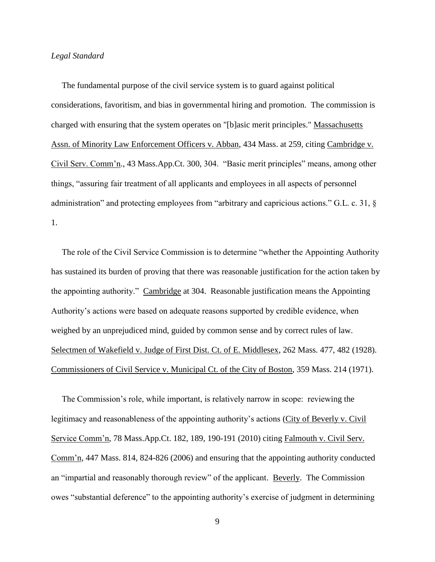#### *Legal Standard*

 The fundamental purpose of the civil service system is to guard against political considerations, favoritism, and bias in governmental hiring and promotion. The commission is charged with ensuring that the system operates on "[b]asic merit principles." Massachusetts Assn. of Minority Law Enforcement Officers v. Abban, 434 Mass. at 259, citing Cambridge v. Civil Serv. Comm'n., 43 Mass.App.Ct. 300, 304. "Basic merit principles" means, among other things, "assuring fair treatment of all applicants and employees in all aspects of personnel administration" and protecting employees from "arbitrary and capricious actions." G.L. c. 31, § 1.

 The role of the Civil Service Commission is to determine "whether the Appointing Authority has sustained its burden of proving that there was reasonable justification for the action taken by the appointing authority." Cambridge at 304. Reasonable justification means the Appointing Authority's actions were based on adequate reasons supported by credible evidence, when weighed by an unprejudiced mind, guided by common sense and by correct rules of law. Selectmen of Wakefield v. Judge of First Dist. Ct. of E. Middlesex, 262 Mass. 477, 482 (1928). Commissioners of Civil Service v. Municipal Ct. of the City of Boston, 359 Mass. 214 (1971).

 The Commission's role, while important, is relatively narrow in scope: reviewing the legitimacy and reasonableness of the appointing authority's actions (City of Beverly v. Civil Service Comm'n, 78 Mass.App.Ct. 182, 189, 190-191 (2010) citing Falmouth v. Civil Serv. Comm'n, 447 Mass. 814, 824-826 (2006) and ensuring that the appointing authority conducted an "impartial and reasonably thorough review" of the applicant. Beverly. The Commission owes "substantial deference" to the appointing authority's exercise of judgment in determining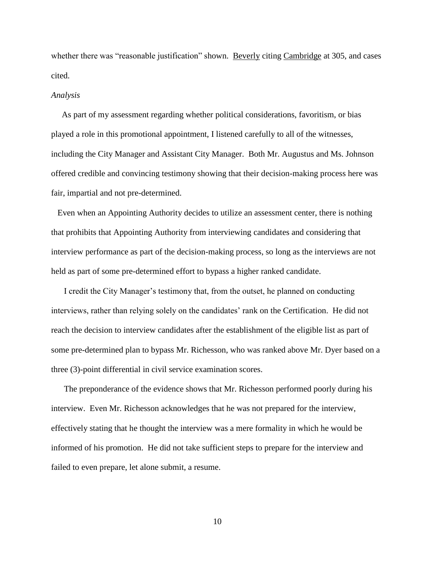whether there was "reasonable justification" shown. Beverly citing Cambridge at 305, and cases cited.

#### *Analysis*

 As part of my assessment regarding whether political considerations, favoritism, or bias played a role in this promotional appointment, I listened carefully to all of the witnesses, including the City Manager and Assistant City Manager. Both Mr. Augustus and Ms. Johnson offered credible and convincing testimony showing that their decision-making process here was fair, impartial and not pre-determined.

 Even when an Appointing Authority decides to utilize an assessment center, there is nothing that prohibits that Appointing Authority from interviewing candidates and considering that interview performance as part of the decision-making process, so long as the interviews are not held as part of some pre-determined effort to bypass a higher ranked candidate.

 I credit the City Manager's testimony that, from the outset, he planned on conducting interviews, rather than relying solely on the candidates' rank on the Certification. He did not reach the decision to interview candidates after the establishment of the eligible list as part of some pre-determined plan to bypass Mr. Richesson, who was ranked above Mr. Dyer based on a three (3)-point differential in civil service examination scores.

 The preponderance of the evidence shows that Mr. Richesson performed poorly during his interview. Even Mr. Richesson acknowledges that he was not prepared for the interview, effectively stating that he thought the interview was a mere formality in which he would be informed of his promotion. He did not take sufficient steps to prepare for the interview and failed to even prepare, let alone submit, a resume.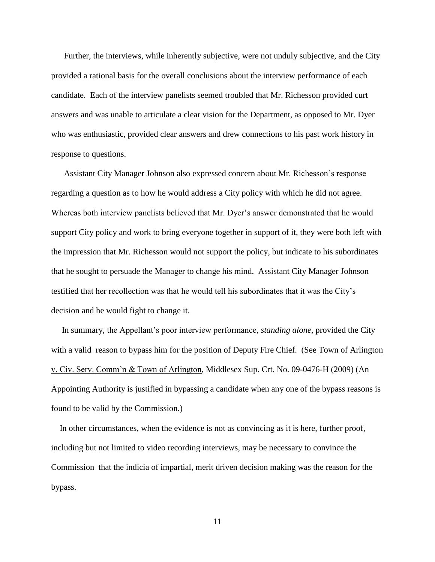Further, the interviews, while inherently subjective, were not unduly subjective, and the City provided a rational basis for the overall conclusions about the interview performance of each candidate. Each of the interview panelists seemed troubled that Mr. Richesson provided curt answers and was unable to articulate a clear vision for the Department, as opposed to Mr. Dyer who was enthusiastic, provided clear answers and drew connections to his past work history in response to questions.

 Assistant City Manager Johnson also expressed concern about Mr. Richesson's response regarding a question as to how he would address a City policy with which he did not agree. Whereas both interview panelists believed that Mr. Dyer's answer demonstrated that he would support City policy and work to bring everyone together in support of it, they were both left with the impression that Mr. Richesson would not support the policy, but indicate to his subordinates that he sought to persuade the Manager to change his mind. Assistant City Manager Johnson testified that her recollection was that he would tell his subordinates that it was the City's decision and he would fight to change it.

 In summary, the Appellant's poor interview performance, *standing alone*, provided the City with a valid reason to bypass him for the position of Deputy Fire Chief. (See Town of Arlington v. Civ. Serv. Comm'n & Town of Arlington, Middlesex Sup. Crt. No. 09-0476-H (2009) (An Appointing Authority is justified in bypassing a candidate when any one of the bypass reasons is found to be valid by the Commission.)

 In other circumstances, when the evidence is not as convincing as it is here, further proof, including but not limited to video recording interviews, may be necessary to convince the Commission that the indicia of impartial, merit driven decision making was the reason for the bypass.